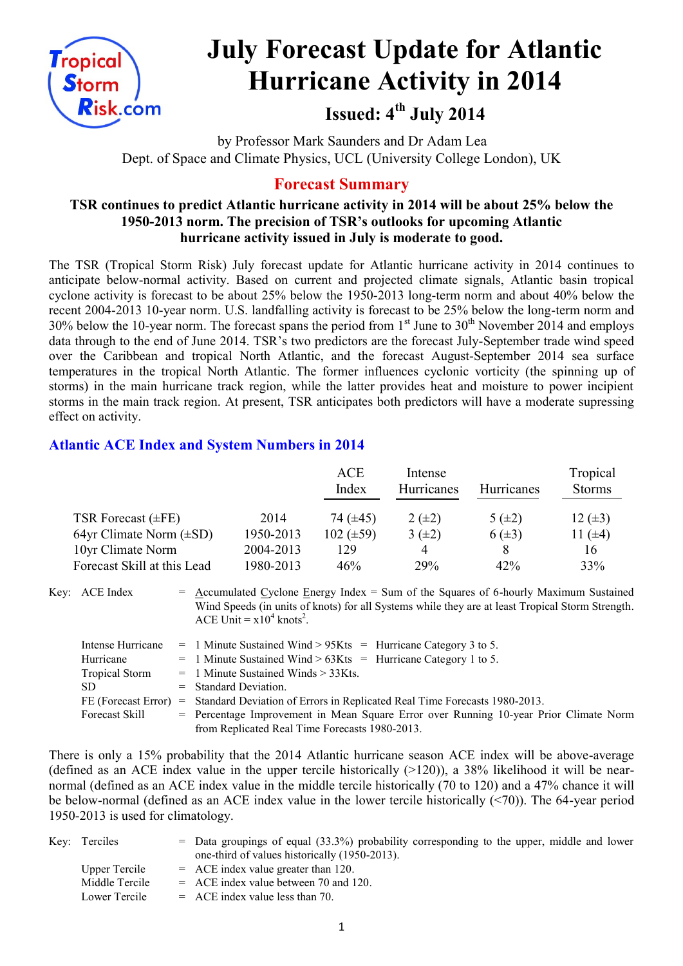

# **July Forecast Update for Atlantic Hurricane Activity in 2014**

**Issued: 4 th July 2014**

by Professor Mark Saunders and Dr Adam Lea Dept. of Space and Climate Physics, UCL (University College London), UK

# **Forecast Summary**

#### **TSR continues to predict Atlantic hurricane activity in 2014 will be about 25% below the 1950-2013 norm. The precision of TSR's outlooks for upcoming Atlantic hurricane activity issued in July is moderate to good.**

The TSR (Tropical Storm Risk) July forecast update for Atlantic hurricane activity in 2014 continues to anticipate below-normal activity. Based on current and projected climate signals, Atlantic basin tropical cyclone activity is forecast to be about 25% below the 1950-2013 long-term norm and about 40% below the recent 2004-2013 10-year norm. U.S. landfalling activity is forecast to be 25% below the long-term norm and 30% below the 10-year norm. The forecast spans the period from  $1<sup>st</sup>$  June to  $30<sup>th</sup>$  November 2014 and employs data through to the end of June 2014. TSR's two predictors are the forecast July-September trade wind speed over the Caribbean and tropical North Atlantic, and the forecast August-September 2014 sea surface temperatures in the tropical North Atlantic. The former influences cyclonic vorticity (the spinning up of storms) in the main hurricane track region, while the latter provides heat and moisture to power incipient storms in the main track region. At present, TSR anticipates both predictors will have a moderate supressing effect on activity.

## **Atlantic ACE Index and System Numbers in 2014**

|                              |           | <b>ACE</b><br>Index | Intense<br>Hurricanes | <b>Hurricanes</b> | Tropical<br><b>Storms</b> |
|------------------------------|-----------|---------------------|-----------------------|-------------------|---------------------------|
|                              |           |                     |                       |                   |                           |
| TSR Forecast $(\pm FE)$      | 2014      | 74 $(\pm 45)$       | $2 (+2)$              | 5 $(\pm 2)$       | $12 \ (\pm 3)$            |
| 64yr Climate Norm $(\pm SD)$ | 1950-2013 | $102 (\pm 59)$      | $3(\pm 2)$            | $6(\pm 3)$        | 11 $(±4)$                 |
| 10yr Climate Norm            | 2004-2013 | 129                 | 4                     |                   | 16                        |
| Forecast Skill at this Lead  | 1980-2013 | 46%                 | 29%                   | 42%               | 33%                       |

Key:  $ACE Index$  = Accumulated Cyclone Energy Index = Sum of the Squares of 6-hourly Maximum Sustained Wind Speeds (in units of knots) for all Systems while they are at least Tropical Storm Strength. ACE Unit =  $x10^4$  knots<sup>2</sup>.

| Intense Hurricane   | $=$ 1 Minute Sustained Wind > 95Kts = Hurricane Category 3 to 5.                        |
|---------------------|-----------------------------------------------------------------------------------------|
| Hurricane           | $=$ 1 Minute Sustained Wind > 63Kts = Hurricane Category 1 to 5.                        |
| Tropical Storm      | $=$ 1 Minute Sustained Winds $>$ 33Kts.                                                 |
| SD.                 | $=$ Standard Deviation.                                                                 |
| FE (Forecast Error) | = Standard Deviation of Errors in Replicated Real Time Forecasts 1980-2013.             |
| Forecast Skill      | $=$ Percentage Improvement in Mean Square Error over Running 10-year Prior Climate Norm |
|                     | from Replicated Real Time Forecasts 1980-2013.                                          |

There is only a 15% probability that the 2014 Atlantic hurricane season ACE index will be above-average (defined as an ACE index value in the upper tercile historically  $(>120)$ ), a 38% likelihood it will be nearnormal (defined as an ACE index value in the middle tercile historically (70 to 120) and a 47% chance it will be below-normal (defined as an ACE index value in the lower tercile historically (<70)). The 64-year period 1950-2013 is used for climatology.

| Key: Terciles  | $=$ Data groupings of equal (33.3%) probability corresponding to the upper, middle and lower |
|----------------|----------------------------------------------------------------------------------------------|
|                | one-third of values historically (1950-2013).                                                |
| Upper Tercile  | $=$ ACE index value greater than 120.                                                        |
| Middle Tercile | $=$ ACE index value between 70 and 120.                                                      |
| Lower Tercile  | $=$ ACE index value less than 70.                                                            |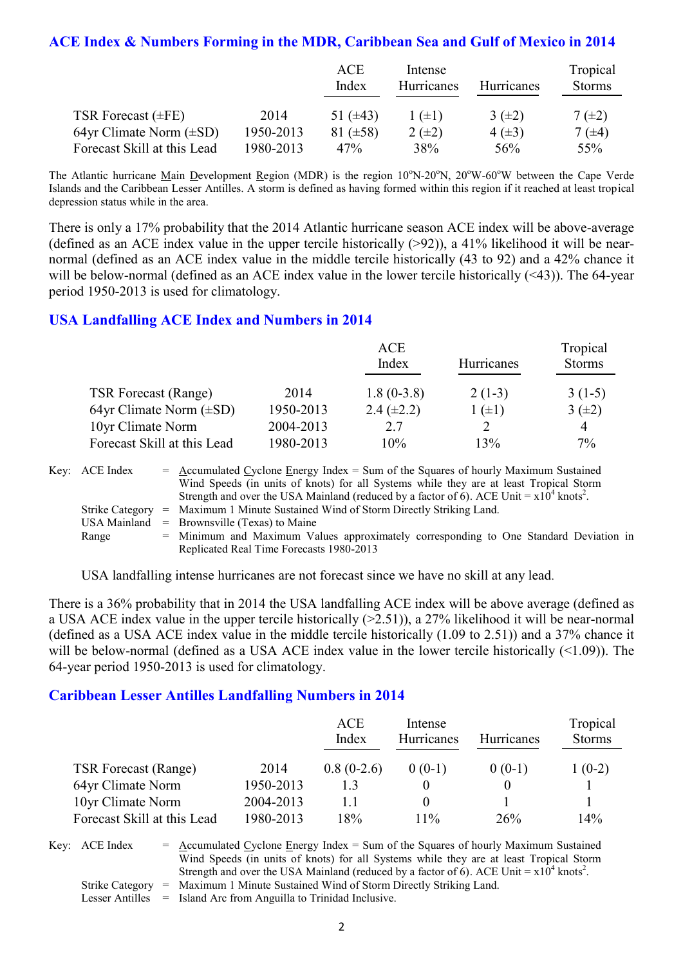#### **ACE Index & Numbers Forming in the MDR, Caribbean Sea and Gulf of Mexico in 2014**

|                              |           | ACE<br>Index  | Intense<br>Hurricanes | Hurricanes | Tropical<br><b>Storms</b> |
|------------------------------|-----------|---------------|-----------------------|------------|---------------------------|
| TSR Forecast $(\pm FE)$      | 2014      | 51 $(\pm 43)$ | $1 (\pm 1)$           | $3(\pm 2)$ | $7(\pm 2)$                |
| 64yr Climate Norm $(\pm SD)$ | 1950-2013 | 81 $(\pm 58)$ | $2(\pm 2)$            | $4(\pm 3)$ | 7 $(\pm 4)$               |
| Forecast Skill at this Lead  | 1980-2013 | 47%           | 38%                   | 56%        | 55%                       |

The Atlantic hurricane Main Development Region (MDR) is the region  $10^{\circ}N-20^{\circ}N$ ,  $20^{\circ}W-60^{\circ}W$  between the Cape Verde Islands and the Caribbean Lesser Antilles. A storm is defined as having formed within this region if it reached at least tropical depression status while in the area.

There is only a 17% probability that the 2014 Atlantic hurricane season ACE index will be above-average (defined as an ACE index value in the upper tercile historically  $(>92)$ ), a 41% likelihood it will be nearnormal (defined as an ACE index value in the middle tercile historically (43 to 92) and a 42% chance it will be below-normal (defined as an ACE index value in the lower tercile historically (<43)). The 64-year period 1950-2013 is used for climatology.

#### **USA Landfalling ACE Index and Numbers in 2014**

|                              |           | <b>ACE</b>      |            | Tropical      |
|------------------------------|-----------|-----------------|------------|---------------|
|                              |           | Index           | Hurricanes | <b>Storms</b> |
| <b>TSR Forecast (Range)</b>  | 2014      | $1.8(0-3.8)$    | $2(1-3)$   | $3(1-5)$      |
| 64yr Climate Norm $(\pm SD)$ | 1950-2013 | $2.4 (\pm 2.2)$ | $(\pm 1)$  | $3(\pm 2)$    |
| 10yr Climate Norm            | 2004-2013 | 2.7             |            | 4             |
| Forecast Skill at this Lead  | 1980-2013 | 10%             | 13%        | $7\%$         |

| Key: ACE Index | $=$ Accumulated Cyclone Energy Index $=$ Sum of the Squares of hourly Maximum Sustained                |
|----------------|--------------------------------------------------------------------------------------------------------|
|                | Wind Speeds (in units of knots) for all Systems while they are at least Tropical Storm                 |
|                | Strength and over the USA Mainland (reduced by a factor of 6). ACE Unit = $x10^4$ knots <sup>2</sup> . |
|                | Strike Category = Maximum 1 Minute Sustained Wind of Storm Directly Striking Land.                     |
|                | USA Mainland $=$ Brownsville (Texas) to Maine                                                          |
| Range          | = Minimum and Maximum Values approximately corresponding to One Standard Deviation in                  |
|                | Replicated Real Time Forecasts 1980-2013                                                               |

USA landfalling intense hurricanes are not forecast since we have no skill at any lead.

There is a 36% probability that in 2014 the USA landfalling ACE index will be above average (defined as a USA ACE index value in the upper tercile historically (>2.51)), a 27% likelihood it will be near-normal (defined as a USA ACE index value in the middle tercile historically (1.09 to 2.51)) and a 37% chance it will be below-normal (defined as a USA ACE index value in the lower tercile historically (<1.09)). The 64-year period 1950-2013 is used for climatology.

#### **Caribbean Lesser Antilles Landfalling Numbers in 2014**

|                             |           | ACE<br>Index | Intense<br><b>Hurricanes</b> | <b>Hurricanes</b> | Tropical<br><b>Storms</b> |
|-----------------------------|-----------|--------------|------------------------------|-------------------|---------------------------|
| <b>TSR Forecast (Range)</b> | 2014      | $0.8(0-2.6)$ | $0(0-1)$                     | $0(0-1)$          | $1(0-2)$                  |
| 64yr Climate Norm           | 1950-2013 | 13           |                              |                   |                           |
| 10yr Climate Norm           | 2004-2013 | 11           | $\theta$                     |                   |                           |
| Forecast Skill at this Lead | 1980-2013 | 18%          | $11\%$                       | 26%               | 14%                       |

Key:  $ACE Index = Accumulated Cyclone Energy Index = Sum of the Squares of hourly Maximum Sustainable$ Wind Speeds (in units of knots) for all Systems while they are at least Tropical Storm Strength and over the USA Mainland (reduced by a factor of 6). ACE Unit =  $x10^4$  knots<sup>2</sup>. Strike Category = Maximum 1 Minute Sustained Wind of Storm Directly Striking Land.

Lesser Antilles = Island Arc from Anguilla to Trinidad Inclusive.

2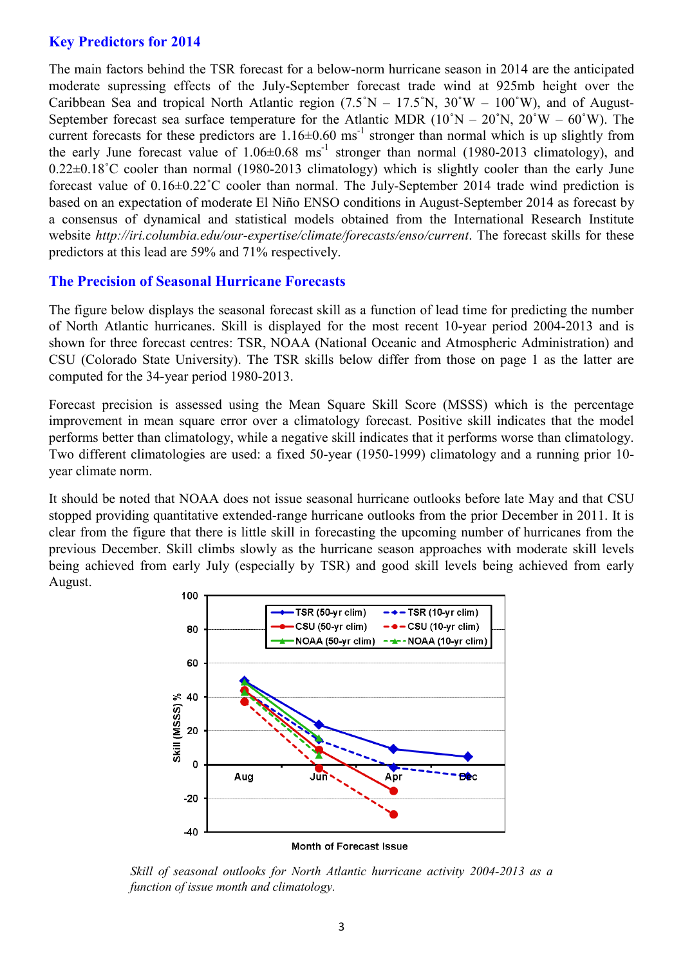#### **Key Predictors for 2014**

The main factors behind the TSR forecast for a below-norm hurricane season in 2014 are the anticipated moderate supressing effects of the July-September forecast trade wind at 925mb height over the Caribbean Sea and tropical North Atlantic region  $(7.5°N - 17.5°N, 30°W - 100°W)$ , and of August-September forecast sea surface temperature for the Atlantic MDR  $(10°N - 20°N, 20°W - 60°W)$ . The current forecasts for these predictors are  $1.16 \pm 0.60$  ms<sup>-1</sup> stronger than normal which is up slightly from the early June forecast value of  $1.06 \pm 0.68$  ms<sup>-1</sup> stronger than normal (1980-2013 climatology), and 0.22±0.18˚C cooler than normal (1980-2013 climatology) which is slightly cooler than the early June forecast value of 0.16±0.22˚C cooler than normal. The July-September 2014 trade wind prediction is based on an expectation of moderate El Niño ENSO conditions in August-September 2014 as forecast by a consensus of dynamical and statistical models obtained from the International Research Institute website *http://iri.columbia.edu/our-expertise/climate/forecasts/enso/current*. The forecast skills for these predictors at this lead are 59% and 71% respectively.

#### **The Precision of Seasonal Hurricane Forecasts**

The figure below displays the seasonal forecast skill as a function of lead time for predicting the number of North Atlantic hurricanes. Skill is displayed for the most recent 10-year period 2004-2013 and is shown for three forecast centres: TSR, NOAA (National Oceanic and Atmospheric Administration) and CSU (Colorado State University). The TSR skills below differ from those on page 1 as the latter are computed for the 34-year period 1980-2013.

Forecast precision is assessed using the Mean Square Skill Score (MSSS) which is the percentage improvement in mean square error over a climatology forecast. Positive skill indicates that the model performs better than climatology, while a negative skill indicates that it performs worse than climatology. Two different climatologies are used: a fixed 50-year (1950-1999) climatology and a running prior 10 year climate norm.

It should be noted that NOAA does not issue seasonal hurricane outlooks before late May and that CSU stopped providing quantitative extended-range hurricane outlooks from the prior December in 2011. It is clear from the figure that there is little skill in forecasting the upcoming number of hurricanes from the previous December. Skill climbs slowly as the hurricane season approaches with moderate skill levels being achieved from early July (especially by TSR) and good skill levels being achieved from early August.



*Skill of seasonal outlooks for North Atlantic hurricane activity 2004-2013 as a function of issue month and climatology.*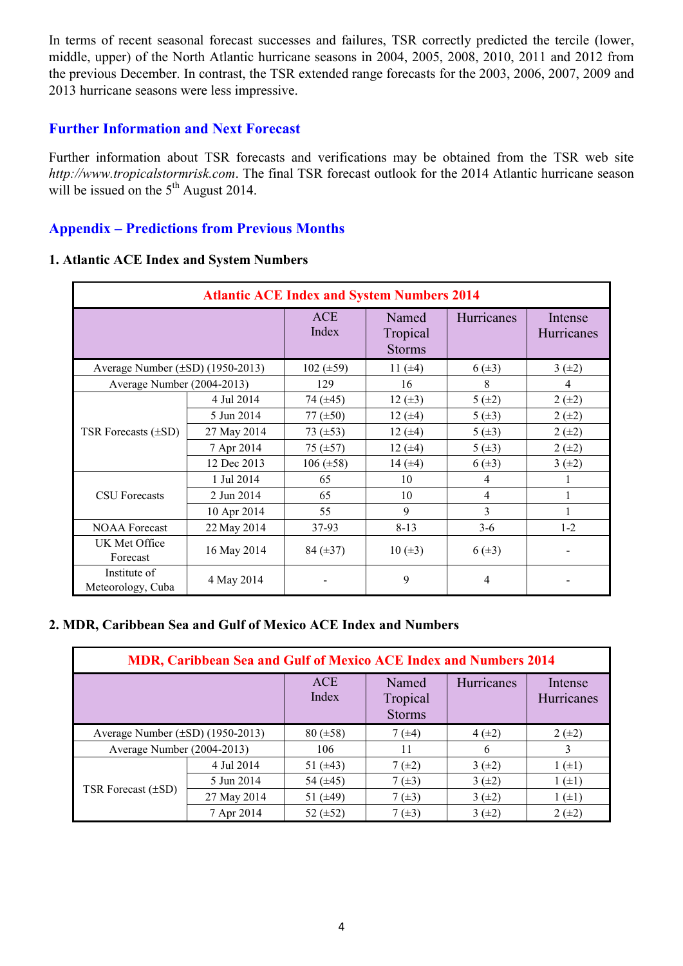In terms of recent seasonal forecast successes and failures, TSR correctly predicted the tercile (lower, middle, upper) of the North Atlantic hurricane seasons in 2004, 2005, 2008, 2010, 2011 and 2012 from the previous December. In contrast, the TSR extended range forecasts for the 2003, 2006, 2007, 2009 and 2013 hurricane seasons were less impressive.

#### **Further Information and Next Forecast**

Further information about TSR forecasts and verifications may be obtained from the TSR web site *http://www.tropicalstormrisk.com*. The final TSR forecast outlook for the 2014 Atlantic hurricane season will be issued on the  $5<sup>th</sup>$  August 2014.

## **Appendix – Predictions from Previous Months**

#### **1. Atlantic ACE Index and System Numbers**

| <b>Atlantic ACE Index and System Numbers 2014</b> |             |                     |                                    |                |                       |  |  |
|---------------------------------------------------|-------------|---------------------|------------------------------------|----------------|-----------------------|--|--|
|                                                   |             | <b>ACE</b><br>Index | Named<br>Tropical<br><b>Storms</b> | Hurricanes     | Intense<br>Hurricanes |  |  |
| Average Number $(\pm SD)$ (1950-2013)             |             | 102 $(\pm 59)$      | 11 $(±4)$                          | $6(\pm 3)$     | $3(+2)$               |  |  |
| Average Number (2004-2013)                        |             | 129                 | 16                                 | 8              | 4                     |  |  |
|                                                   | 4 Jul 2014  | 74 $(\pm 45)$       | 12 $(\pm 3)$                       | 5(±2)          | $2 (+2)$              |  |  |
|                                                   | 5 Jun 2014  | 77 $(\pm 50)$       | 12 $(±4)$                          | 5(±3)          | $2 (+2)$              |  |  |
| TSR Forecasts $(\pm SD)$                          | 27 May 2014 | $73 \ (\pm 53)$     | 12 $(±4)$                          | $5 (+3)$       | $2 (+2)$              |  |  |
|                                                   | 7 Apr 2014  | 75 $(\pm 57)$       | 12 $(±4)$                          | 5(±3)          | $2 (+2)$              |  |  |
|                                                   | 12 Dec 2013 | $106 (\pm 58)$      | 14 $(±4)$                          | $6(\pm 3)$     | 3(±2)                 |  |  |
|                                                   | 1 Jul 2014  | 65                  | 10                                 | 4              |                       |  |  |
| <b>CSU</b> Forecasts                              | 2 Jun 2014  | 65                  | 10                                 | $\overline{4}$ |                       |  |  |
|                                                   | 10 Apr 2014 | 55                  | 9                                  | 3              |                       |  |  |
| <b>NOAA Forecast</b>                              | 22 May 2014 | 37-93               | $8 - 13$                           | $3 - 6$        | $1-2$                 |  |  |
| UK Met Office<br>Forecast                         | 16 May 2014 | 84 $(\pm 37)$       | $10 (\pm 3)$                       | $6(\pm 3)$     |                       |  |  |
| Institute of<br>Meteorology, Cuba                 | 4 May 2014  |                     | 9                                  | $\overline{4}$ |                       |  |  |

#### **2. MDR, Caribbean Sea and Gulf of Mexico ACE Index and Numbers**

| <b>MDR, Caribbean Sea and Gulf of Mexico ACE Index and Numbers 2014</b> |             |                     |                                    |            |                              |  |  |  |
|-------------------------------------------------------------------------|-------------|---------------------|------------------------------------|------------|------------------------------|--|--|--|
|                                                                         |             | <b>ACE</b><br>Index | Named<br>Tropical<br><b>Storms</b> | Hurricanes | Intense<br><b>Hurricanes</b> |  |  |  |
| Average Number $(\pm SD)$ (1950-2013)                                   |             | $80 (\pm 58)$       | $7(\pm 4)$                         | $4(\pm 2)$ | $2 (+2)$                     |  |  |  |
| Average Number (2004-2013)                                              |             | 106                 | 11                                 | 6          | 3                            |  |  |  |
| TSR Forecast $(\pm SD)$                                                 | 4 Jul 2014  | 51 $(\pm 43)$       | $7(\pm 2)$                         | $3(\pm 2)$ | $1 (+1)$                     |  |  |  |
|                                                                         | 5 Jun 2014  | 54 $(\pm 45)$       | $7(\pm 3)$                         | $3(\pm 2)$ | $1 (+1)$                     |  |  |  |
|                                                                         | 27 May 2014 | 51 $(\pm 49)$       | $7(\pm 3)$                         | $3(\pm 2)$ | $1 (+1)$                     |  |  |  |
|                                                                         | 7 Apr 2014  | 52 $(\pm 52)$       | 7 $(\pm 3)$                        | 3(±2)      | $2 (+2)$                     |  |  |  |